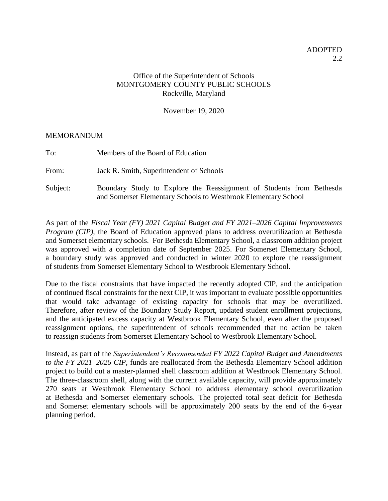## Office of the Superintendent of Schools MONTGOMERY COUNTY PUBLIC SCHOOLS Rockville, Maryland

November 19, 2020

## MEMORANDUM

To: Members of the Board of Education

From: Jack R. Smith, Superintendent of Schools

Subject: Boundary Study to Explore the Reassignment of Students from Bethesda and Somerset Elementary Schools to Westbrook Elementary School

As part of the *Fiscal Year (FY) 2021 Capital Budget and FY 2021–2026 Capital Improvements Program (CIP)*, the Board of Education approved plans to address overutilization at Bethesda and Somerset elementary schools. For Bethesda Elementary School, a classroom addition project was approved with a completion date of September 2025. For Somerset Elementary School, a boundary study was approved and conducted in winter 2020 to explore the reassignment of students from Somerset Elementary School to Westbrook Elementary School.

Due to the fiscal constraints that have impacted the recently adopted CIP, and the anticipation of continued fiscal constraints for the next CIP, it was important to evaluate possible opportunities that would take advantage of existing capacity for schools that may be overutilized. Therefore, after review of the Boundary Study Report, updated student enrollment projections, and the anticipated excess capacity at Westbrook Elementary School, even after the proposed reassignment options, the superintendent of schools recommended that no action be taken to reassign students from Somerset Elementary School to Westbrook Elementary School.

Instead, as part of the *Superintendent's Recommended FY 2022 Capital Budget and Amendments to the FY 2021–2026 CIP,* funds are reallocated from the Bethesda Elementary School addition project to build out a master-planned shell classroom addition at Westbrook Elementary School. The three-classroom shell, along with the current available capacity, will provide approximately 270 seats at Westbrook Elementary School to address elementary school overutilization at Bethesda and Somerset elementary schools. The projected total seat deficit for Bethesda and Somerset elementary schools will be approximately 200 seats by the end of the 6-year planning period.